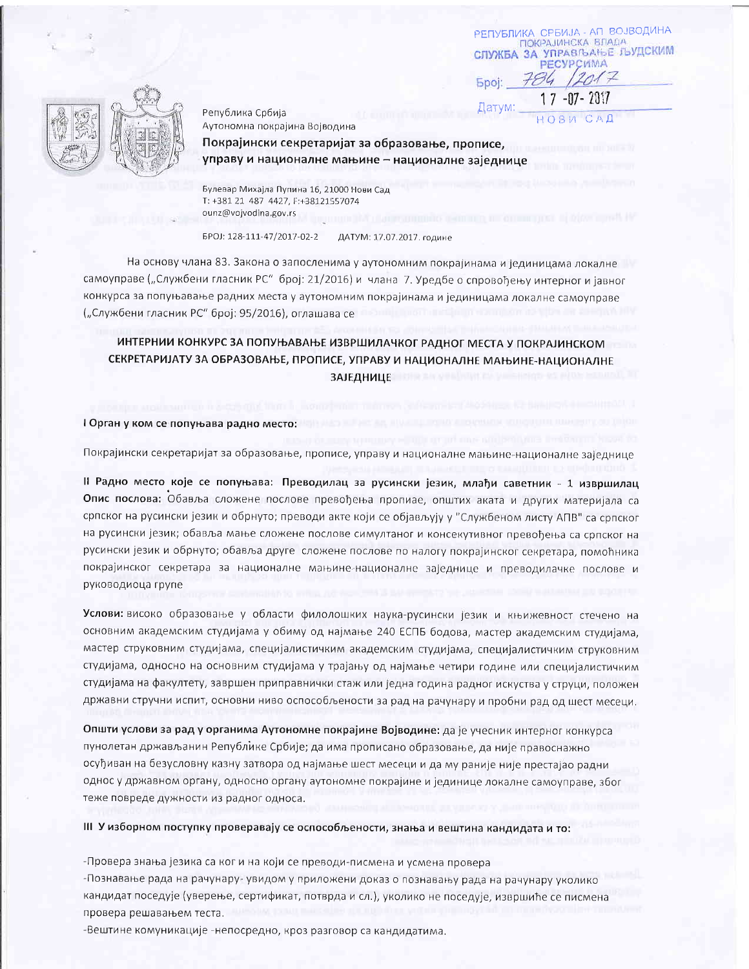Република Србија Аутономна покрајина Војводина

Покрајински секретаријат за образовање, прописе, управу и националне мањине - националне заједнице

РЕПУБЛИКА СРБИЈА - АП ВОЈВОДИНА ПОКРАЈИНСКА ВЛАДА **СЛУЖБА ЗА УПРАВЉАЊЕ ЉУДСКИМ PECYPCWMA** 784 1201

 $17 - 07 - 2017$ 

 $H$  O B  $M$ 

Spoi:

Датум:

Булевар Михајла Пупина 16, 21000 Нови Сад T: +381 21 487 4427, F:+38121557074 ounz@vojvodina.gov.rs

EPOJ: 128-111-47/2017-02-2 ДАТУМ: 17.07.2017, године

На основу члана 83. Закона о запосленима у аутономним покрајинама и јединицама локалне самоуправе ("Службени гласник РС" број: 21/2016) и члана 7. Уредбе о спровођењу интерног и јавног конкурса за попуњавање радних места у аутономним покрајинама и јединицама локалне самоуправе ("Службени гласник РС" број: 95/2016), оглашава се

## ИНТЕРНИИ КОНКУРС ЗА ПОПУЊАВАЊЕ ИЗВРШИЛАЧКОГ РАДНОГ МЕСТА У ПОКРАЈИНСКОМ СЕКРЕТАРИЈАТУ ЗА ОБРАЗОВАЊЕ, ПРОПИСЕ, УПРАВУ И НАЦИОНАЛНЕ МАЊИНЕ-НАЦИОНАЛНЕ **ЗАЈЕДНИЦЕ**

I Орган у ком се попуњава радно место:

Покрајински секретаријат за образовање, прописе, управу и националне мањине-националне заједнице

II Радно место које се попуњава: Преводилац за русински језик, млађи саветник - 1 извршилац Опис послова: Обавља сложене послове превођења пропиае, општих аката и других материјала са српског на русински језик и обрнуто; преводи акте који се објављују у "Службеном листу АПВ" са српског на русински језик; обавља мање сложене послове симултаног и консекутивног превођења са српског на русински језик и обрнуто; обавља друге сложене послове по налогу покрајинског секретара, помоћника покрајинског секретара за националне мањине-националне заједнице и преводилачке послове и руководиоца групе

Услови: високо образовање у области филолошких наука-русински језик и књижевност стечено на основним академским студијама у обиму од најмање 240 ЕСПБ бодова, мастер академским студијама, мастер струковним студијама, специјалистичким академским студијама, специјалистичким струковним студијама, односно на основним студијама у трајању од најмање четири године или специјалистичким студијама на факултету, завршен приправнички стаж или једна година радног искуства у струци, положен државни стручни испит, основни ниво оспособљености за рад на рачунару и пробни рад од шест месеци.

Општи услови за рад у органима Аутономне покрајине Војводине: да је учесник интерног конкурса пунолетан држављанин Републике Србије; да има прописано образовање, да није правоснажно осуђиван на безусловну казну затвора од најмање шест месеци и да му раније није престајао радни однос у државном органу, односно органу аутономне покрајине и јединице локалне самоуправе, због теже повреде дужности из радног односа.

III У изборном поступку проверавају се оспособљености, знања и вештина кандидата и то:

-Провера знања језика са ког и на који се преводи-писмена и усмена провера

-Познавање рада на рачунару- увидом у приложени доказ о познавању рада на рачунару уколико кандидат поседује (уверење, сертификат, потврда и сл.), уколико не поседује, извршиће се писмена провера решавањем теста.

-Вештине комуникације -непосредно, кроз разговор са кандидатима.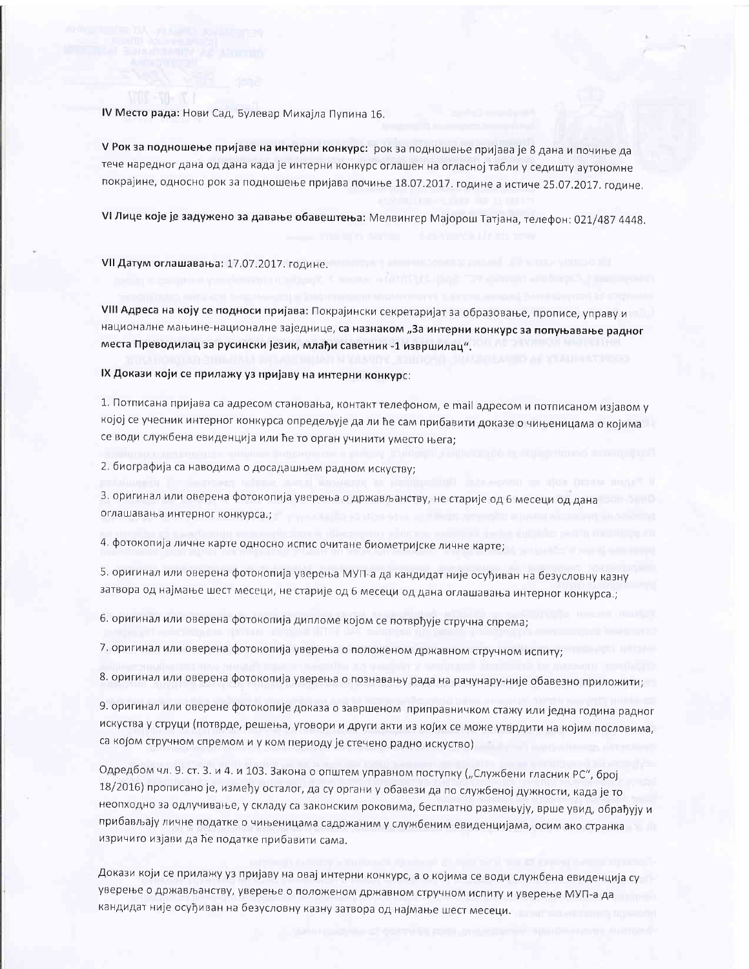IV Место рада: Нови Сад, Булевар Михајла Пупина 16.

V Рок за подношење пријаве на интерни конкурс: рок за подношење пријава је 8 дана и почиње да тече наредног дана од дана када је интерни конкурс оглашен на огласној табли у седишту аутономне покрајине, односно рок за подношење пријава почиње 18.07.2017. године а истиче 25.07.2017. године.

VI Лице које је задужено за давање обавештења: Мелвингер Мајорош Татјана, телефон: 021/487 4448.

VII Датум оглашавања: 17.07.2017. године.

VIII Адреса на коју се подноси пријава: Покрајински секретаријат за образовање, прописе, управу и националне мањине-националне заједнице, са назнаком "За интерни конкурс за попуњавање радног места Преводилац за русински језик, млађи саветник -1 извршилац".

IX Докази који се прилажу уз пријаву на интерни конкурс:

1. Потписана пријава са адресом становања, контакт телефоном, е mail адресом и потписаном изјавом у којој се учесник интерног конкурса опредељује да ли ће сам прибавити доказе о чињеницама о којима се води службена евиденција или ће то орган учинити уместо њега;

2. биографија са наводима о досадашњем радном искуству;

3. оригинал или оверена фотокопија уверења о држављанству, не старије од 6 месеци од дана оглашавања интерног конкурса.:

4. фотокопија личне карте односно испис очитане биометријске личне карте;

5. оригинал или оверена фотокопија уверења МУП-а да кандидат није осуђиван на безусловну казну затвора од најмање шест месеци, не старије од 6 месеци од дана оглашавања интерног конкурса.;

6. оригинал или оверена фотокопија дипломе којом се потврђује стручна спрема;

7. оригинал или оверена фотокопија уверења о положеном државном стручном испиту;

8. оригинал или оверена фотокопија уверења о познавању рада на рачунару-није обавезно приложити;

9. оригинал или оверене фотокопије доказа о завршеном приправничком стажу или једна година радног искуства у струци (потврде, решења, уговори и други акти из којих се може утврдити на којим пословима, са којом стручном спремом и у ком периоду је стечено радно искуство)

Одредбом чл. 9. ст. 3. и 4. и 103. Закона о општем управном поступку ("Службени гласник РС", број 18/2016) прописано је, између осталог, да су органи у обавези да по службеној дужности, када је то неопходно за одлучивање, у складу са законским роковима, бесплатно размењују, врше увид, обрађују и прибављају личне податке о чињеницама садржаним у службеним евиденцијама, осим ако странка изричито изјави да ће податке прибавити сама.

Докази који се прилажу уз пријаву на овај интерни конкурс, а о којима се води службена евиденција су уверење о држављанству, уверење о положеном државном стручном испиту и уверење МУП-а да кандидат није осуђиван на безусловну казну затвора од најмање шест месеци.